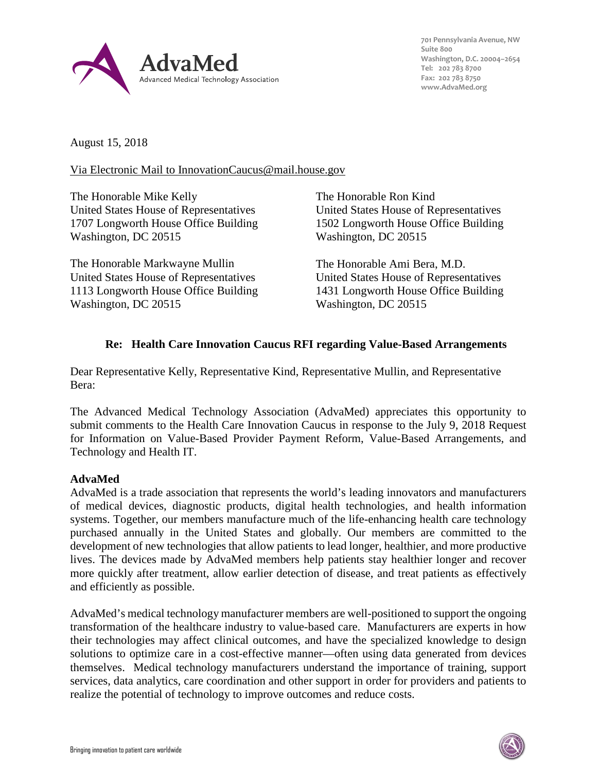

**701 Pennsylvania Avenue, NW Suite 800 Washington, D.C. 20004–2654 Tel: 202 783 8700 Fax: 202 783 8750 [www.AdvaMed.org](http://www.advamed.org/)**

August 15, 2018

### Via Electronic Mail to InnovationCaucus@mail.house.gov

The Honorable Mike Kelly United States House of Representatives 1707 Longworth House Office Building Washington, DC 20515

The Honorable Markwayne Mullin United States House of Representatives 1113 Longworth House Office Building Washington, DC 20515

The Honorable Ron Kind United States House of Representatives 1502 Longworth House Office Building Washington, DC 20515

The Honorable Ami Bera, M.D. United States House of Representatives 1431 Longworth House Office Building Washington, DC 20515

## **Re: Health Care Innovation Caucus RFI regarding Value-Based Arrangements**

Dear Representative Kelly, Representative Kind, Representative Mullin, and Representative Bera:

The Advanced Medical Technology Association (AdvaMed) appreciates this opportunity to submit comments to the Health Care Innovation Caucus in response to the July 9, 2018 Request for Information on Value-Based Provider Payment Reform, Value-Based Arrangements, and Technology and Health IT.

## **AdvaMed**

AdvaMed is a trade association that represents the world's leading innovators and manufacturers of medical devices, diagnostic products, digital health technologies, and health information systems. Together, our members manufacture much of the life-enhancing health care technology purchased annually in the United States and globally. Our members are committed to the development of new technologies that allow patients to lead longer, healthier, and more productive lives. The devices made by AdvaMed members help patients stay healthier longer and recover more quickly after treatment, allow earlier detection of disease, and treat patients as effectively and efficiently as possible.

AdvaMed's medical technology manufacturer members are well-positioned to support the ongoing transformation of the healthcare industry to value-based care. Manufacturers are experts in how their technologies may affect clinical outcomes, and have the specialized knowledge to design solutions to optimize care in a cost-effective manner—often using data generated from devices themselves. Medical technology manufacturers understand the importance of training, support services, data analytics, care coordination and other support in order for providers and patients to realize the potential of technology to improve outcomes and reduce costs.

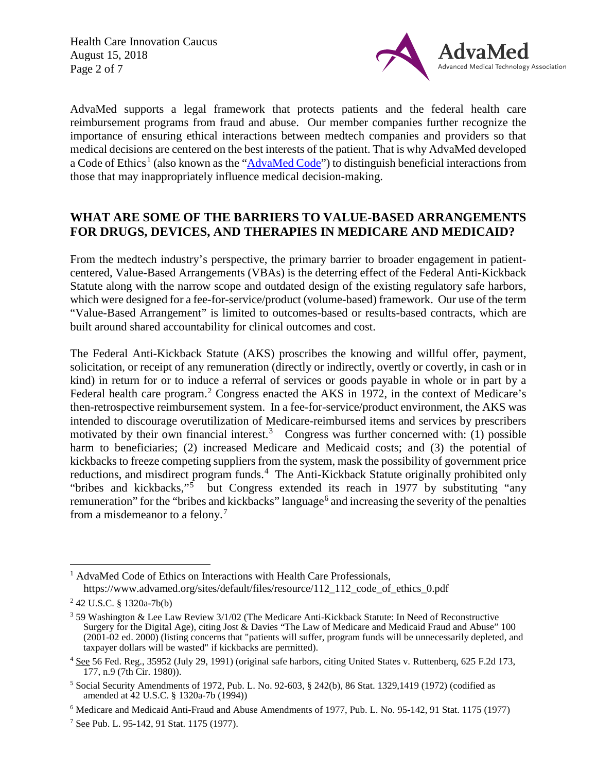Health Care Innovation Caucus August 15, 2018 Page 2 of 7



AdvaMed supports a legal framework that protects patients and the federal health care reimbursement programs from fraud and abuse. Our member companies further recognize the importance of ensuring ethical interactions between medtech companies and providers so that medical decisions are centered on the best interests of the patient. That is why AdvaMed developed a Code of Ethics<sup>[1](#page-1-0)</sup> (also known as the ["AdvaMed Code"](https://www.advamed.org/sites/default/files/resource/112_112_code_of_ethics_0.pdf)) to distinguish beneficial interactions from those that may inappropriately influence medical decision-making.

# **WHAT ARE SOME OF THE BARRIERS TO VALUE-BASED ARRANGEMENTS FOR DRUGS, DEVICES, AND THERAPIES IN MEDICARE AND MEDICAID?**

From the medtech industry's perspective, the primary barrier to broader engagement in patientcentered, Value-Based Arrangements (VBAs) is the deterring effect of the Federal Anti-Kickback Statute along with the narrow scope and outdated design of the existing regulatory safe harbors, which were designed for a fee-for-service/product (volume-based) framework. Our use of the term "Value-Based Arrangement" is limited to outcomes-based or results-based contracts, which are built around shared accountability for clinical outcomes and cost.

The Federal Anti-Kickback Statute (AKS) proscribes the knowing and willful offer, payment, solicitation, or receipt of any remuneration (directly or indirectly, overtly or covertly, in cash or in kind) in return for or to induce a referral of services or goods payable in whole or in part by a Federal health care program.<sup>[2](#page-1-1)</sup> Congress enacted the AKS in 1972, in the context of Medicare's then-retrospective reimbursement system. In a fee-for-service/product environment, the AKS was intended to discourage overutilization of Medicare-reimbursed items and services by prescribers motivated by their own financial interest.<sup>[3](#page-1-2)</sup> Congress was further concerned with: (1) possible harm to beneficiaries; (2) increased Medicare and Medicaid costs; and (3) the potential of kickbacks to freeze competing suppliers from the system, mask the possibility of government price reductions, and misdirect program funds.<sup>[4](#page-1-3)</sup> The Anti-Kickback Statute originally prohibited only "bribes and kickbacks,"<sup>[5](#page-1-4)</sup> but Congress extended its reach in 1977 by substituting "any remuneration" for the "bribes and kickbacks" language<sup>[6](#page-1-5)</sup> and increasing the severity of the penalties from a misdemeanor to a felony.[7](#page-1-6)

<span id="page-1-0"></span><sup>&</sup>lt;sup>1</sup> AdvaMed Code of Ethics on Interactions with Health Care Professionals, [https://www.advamed.org/sites/default/files/resource/112\\_112\\_code\\_of\\_ethics\\_0.pdf](https://www.advamed.org/sites/default/files/resource/112_112_code_of_ethics_0.pdf)

<span id="page-1-1"></span><sup>2</sup> 42 U.S.C. § 1320a-7b(b)

<span id="page-1-2"></span><sup>3</sup> 59 Washington & Lee Law Review 3/1/02 (The Medicare Anti-Kickback Statute: In Need of Reconstructive Surgery for the Digital Age), citing Jost  $\&$  Davies "The Law of Medicare and Medicaid Fraud and Abuse" 100 (2001-02 ed. 2000) (listing concerns that "patients will suffer, program funds will be unnecessarily depleted, and taxpayer dollars will be wasted" if kickbacks are permitted).

<span id="page-1-3"></span><sup>4</sup> See 56 Fed. Reg., 35952 (July 29, 1991) (original safe harbors, citing United States v. Ruttenberq, 625 F.2d 173, 177, n.9 (7th Cir. 1980)).

<span id="page-1-4"></span> $5$  Social Security Amendments of 1972, Pub. L. No. 92-603, § 242(b), 86 Stat. 1329,1419 (1972) (codified as amended at 42 U.S.C. § 1320a-7b (1994))

<span id="page-1-5"></span><sup>6</sup> Medicare and Medicaid Anti-Fraud and Abuse Amendments of 1977, Pub. L. No. 95-142, 91 Stat. 1175 (1977)

<span id="page-1-6"></span><sup>7</sup> See Pub. L. 95-142, 91 Stat. 1175 (1977).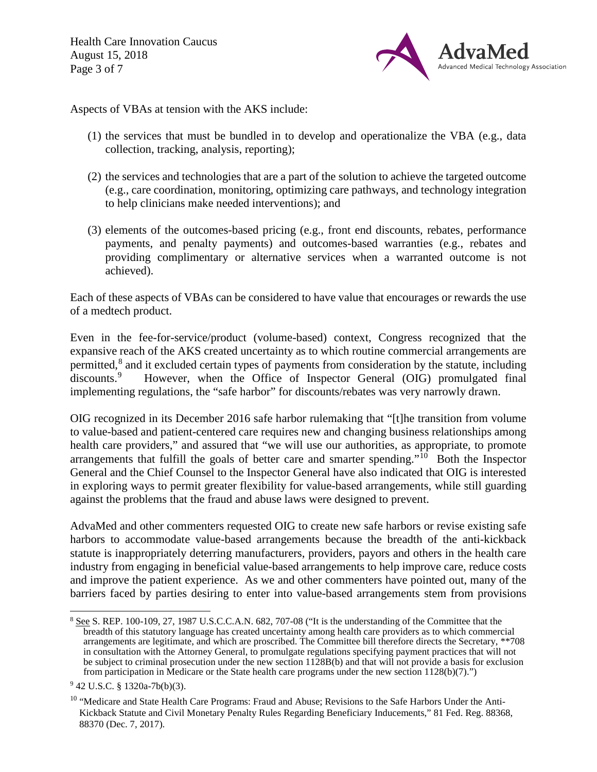Health Care Innovation Caucus August 15, 2018 Page 3 of 7



Aspects of VBAs at tension with the AKS include:

- (1) the services that must be bundled in to develop and operationalize the VBA (e.g., data collection, tracking, analysis, reporting);
- (2) the services and technologies that are a part of the solution to achieve the targeted outcome (e.g., care coordination, monitoring, optimizing care pathways, and technology integration to help clinicians make needed interventions); and
- (3) elements of the outcomes-based pricing (e.g., front end discounts, rebates, performance payments, and penalty payments) and outcomes-based warranties (e.g., rebates and providing complimentary or alternative services when a warranted outcome is not achieved).

Each of these aspects of VBAs can be considered to have value that encourages or rewards the use of a medtech product.

Even in the fee-for-service/product (volume-based) context, Congress recognized that the expansive reach of the AKS created uncertainty as to which routine commercial arrangements are permitted,<sup>[8](#page-2-0)</sup> and it excluded certain types of payments from consideration by the statute, including discounts.<sup>[9](#page-2-1)</sup> However, when the Office of Inspector General (OIG) promulgated final implementing regulations, the "safe harbor" for discounts/rebates was very narrowly drawn.

OIG recognized in its December 2016 safe harbor rulemaking that "[t]he transition from volume to value-based and patient-centered care requires new and changing business relationships among health care providers," and assured that "we will use our authorities, as appropriate, to promote arrangements that fulfill the goals of better care and smarter spending." $\frac{10}{10}$  Both the Inspector General and the Chief Counsel to the Inspector General have also indicated that OIG is interested in exploring ways to permit greater flexibility for value-based arrangements, while still guarding against the problems that the fraud and abuse laws were designed to prevent.

AdvaMed and other commenters requested OIG to create new safe harbors or revise existing safe harbors to accommodate value-based arrangements because the breadth of the anti-kickback statute is inappropriately deterring manufacturers, providers, payors and others in the health care industry from engaging in beneficial value-based arrangements to help improve care, reduce costs and improve the patient experience. As we and other commenters have pointed out, many of the barriers faced by parties desiring to enter into value-based arrangements stem from provisions

<span id="page-2-0"></span><sup>&</sup>lt;sup>8</sup> See S. REP. 100-109, 27, 1987 U.S.C.C.A.N. 682, 707-08 ("It is the understanding of the Committee that the breadth of this statutory language has created uncertainty among health care providers as to which commercial arrangements are legitimate, and which are proscribed. The Committee bill therefore directs the Secretary, \*\*708 in consultation with the Attorney General, to promulgate regulations specifying payment practices that will not be subject to criminal prosecution under the new section 1128B(b) and that will not provide a basis for exclusion from participation in Medicare or the State health care programs under the new section 1128(b)(7).")

<span id="page-2-1"></span><sup>9</sup> 42 U.S.C. § 1320a-7b(b)(3).

<span id="page-2-2"></span><sup>&</sup>lt;sup>10</sup> "Medicare and State Health Care Programs: Fraud and Abuse; Revisions to the Safe Harbors Under the Anti-Kickback Statute and Civil Monetary Penalty Rules Regarding Beneficiary Inducements," 81 Fed. Reg. 88368, 88370 (Dec. 7, 2017).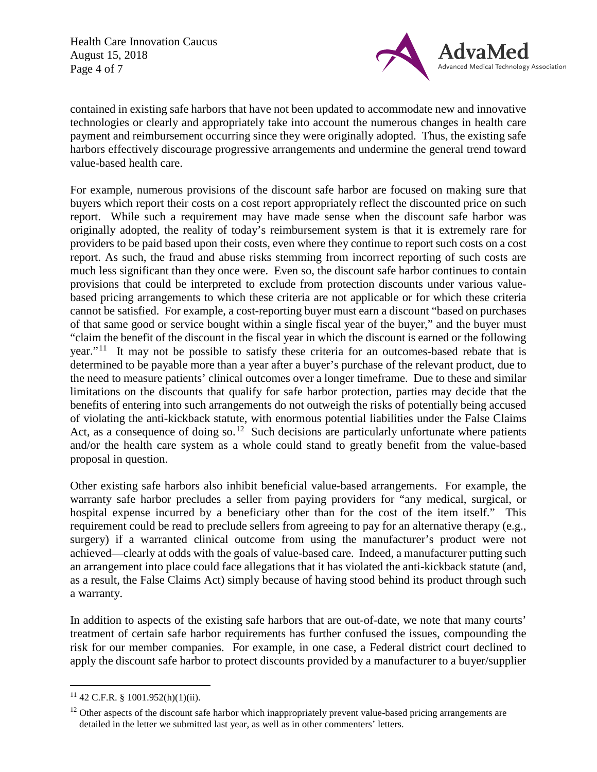Health Care Innovation Caucus August 15, 2018 Page 4 of 7



contained in existing safe harbors that have not been updated to accommodate new and innovative technologies or clearly and appropriately take into account the numerous changes in health care payment and reimbursement occurring since they were originally adopted. Thus, the existing safe harbors effectively discourage progressive arrangements and undermine the general trend toward value-based health care.

For example, numerous provisions of the discount safe harbor are focused on making sure that buyers which report their costs on a cost report appropriately reflect the discounted price on such report. While such a requirement may have made sense when the discount safe harbor was originally adopted, the reality of today's reimbursement system is that it is extremely rare for providers to be paid based upon their costs, even where they continue to report such costs on a cost report. As such, the fraud and abuse risks stemming from incorrect reporting of such costs are much less significant than they once were. Even so, the discount safe harbor continues to contain provisions that could be interpreted to exclude from protection discounts under various valuebased pricing arrangements to which these criteria are not applicable or for which these criteria cannot be satisfied. For example, a cost-reporting buyer must earn a discount "based on purchases of that same good or service bought within a single fiscal year of the buyer," and the buyer must "claim the benefit of the discount in the fiscal year in which the discount is earned or the following year."<sup>11</sup> It may not be possible to satisfy these criteria for an outcomes-based rebate that is determined to be payable more than a year after a buyer's purchase of the relevant product, due to the need to measure patients' clinical outcomes over a longer timeframe. Due to these and similar limitations on the discounts that qualify for safe harbor protection, parties may decide that the benefits of entering into such arrangements do not outweigh the risks of potentially being accused of violating the anti-kickback statute, with enormous potential liabilities under the False Claims Act, as a consequence of doing so.<sup>12</sup> Such decisions are particularly unfortunate where patients and/or the health care system as a whole could stand to greatly benefit from the value-based proposal in question.

Other existing safe harbors also inhibit beneficial value-based arrangements. For example, the warranty safe harbor precludes a seller from paying providers for "any medical, surgical, or hospital expense incurred by a beneficiary other than for the cost of the item itself." This requirement could be read to preclude sellers from agreeing to pay for an alternative therapy (e.g., surgery) if a warranted clinical outcome from using the manufacturer's product were not achieved—clearly at odds with the goals of value-based care. Indeed, a manufacturer putting such an arrangement into place could face allegations that it has violated the anti-kickback statute (and, as a result, the False Claims Act) simply because of having stood behind its product through such a warranty.

In addition to aspects of the existing safe harbors that are out-of-date, we note that many courts' treatment of certain safe harbor requirements has further confused the issues, compounding the risk for our member companies. For example, in one case, a Federal district court declined to apply the discount safe harbor to protect discounts provided by a manufacturer to a buyer/supplier

<span id="page-3-0"></span> $11$  42 C.F.R. § 1001.952(h)(1)(ii).

<span id="page-3-1"></span> $12$  Other aspects of the discount safe harbor which inappropriately prevent value-based pricing arrangements are detailed in the letter we submitted last year, as well as in other commenters' letters.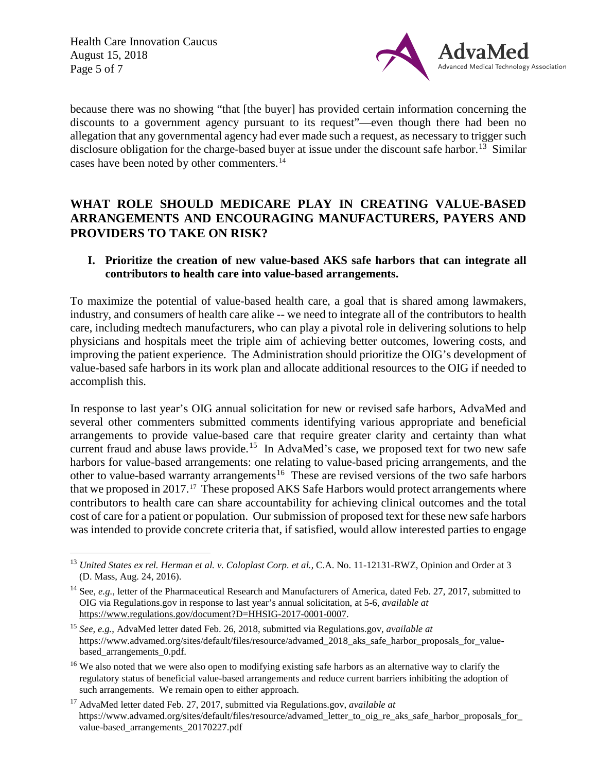Health Care Innovation Caucus August 15, 2018 Page 5 of 7



because there was no showing "that [the buyer] has provided certain information concerning the discounts to a government agency pursuant to its request"—even though there had been no allegation that any governmental agency had ever made such a request, as necessary to trigger such disclosure obligation for the charge-based buyer at issue under the discount safe harbor.<sup>[13](#page-4-0)</sup> Similar cases have been noted by other commenters. [14](#page-4-1)

# **WHAT ROLE SHOULD MEDICARE PLAY IN CREATING VALUE-BASED ARRANGEMENTS AND ENCOURAGING MANUFACTURERS, PAYERS AND PROVIDERS TO TAKE ON RISK?**

### **I. Prioritize the creation of new value-based AKS safe harbors that can integrate all contributors to health care into value-based arrangements.**

To maximize the potential of value-based health care, a goal that is shared among lawmakers, industry, and consumers of health care alike -- we need to integrate all of the contributors to health care, including medtech manufacturers, who can play a pivotal role in delivering solutions to help physicians and hospitals meet the triple aim of achieving better outcomes, lowering costs, and improving the patient experience. The Administration should prioritize the OIG's development of value-based safe harbors in its work plan and allocate additional resources to the OIG if needed to accomplish this.

In response to last year's OIG annual solicitation for new or revised safe harbors, AdvaMed and several other commenters submitted comments identifying various appropriate and beneficial arrangements to provide value-based care that require greater clarity and certainty than what current fraud and abuse laws provide.<sup>15</sup> In AdvaMed's case, we proposed text for two new safe harbors for value-based arrangements: one relating to value-based pricing arrangements, and the other to value-based warranty arrangements<sup>[16](#page-4-3)</sup> These are revised versions of the two safe harbors that we proposed in 2017.<sup>17</sup> These proposed AKS Safe Harbors would protect arrangements where contributors to health care can share accountability for achieving clinical outcomes and the total cost of care for a patient or population. Our submission of proposed text for these new safe harbors was intended to provide concrete criteria that, if satisfied, would allow interested parties to engage

<span id="page-4-0"></span><sup>&</sup>lt;sup>13</sup> *United States ex rel. Herman et al. v. Coloplast Corp. et al., C.A. No.* 11-12131-RWZ, Opinion and Order at 3 (D. Mass, Aug. 24, 2016).

<span id="page-4-1"></span><sup>14</sup> See, *e.g.,* letter of the Pharmaceutical Research and Manufacturers of America, dated Feb. 27, 2017, submitted to OIG via Regulations.gov in response to last year's annual solicitation, at 5-6, *available at*  [https://www.regulations.gov/document?D=HHSIG-2017-0001-0007.](https://www.regulations.gov/document?D=HHSIG-2017-0001-0007) 

<span id="page-4-2"></span><sup>15</sup> *See, e.g.*, AdvaMed letter dated Feb. 26, 2018, submitted via Regulations.gov, *available at* [https://www.advamed.org/sites/default/files/resource/advamed\\_2018\\_aks\\_safe\\_harbor\\_proposals\\_for\\_value](https://www.advamed.org/sites/default/files/resource/advamed_2018_aks_safe_harbor_proposals_for_value-based_arrangements_0.pdf)based arrangements 0.pdf.

<span id="page-4-3"></span><sup>&</sup>lt;sup>16</sup> We also noted that we were also open to modifying existing safe harbors as an alternative way to clarify the regulatory status of beneficial value-based arrangements and reduce current barriers inhibiting the adoption of such arrangements. We remain open to either approach.

<span id="page-4-4"></span><sup>17</sup> AdvaMed letter dated Feb. 27, 2017, submitted via Regulations.gov, *available at* https://www.advamed.org/sites/default/files/resource/advamed\_letter\_to\_oig\_re\_aks\_safe\_harbor\_proposals\_for [value-based\\_arrangements\\_20170227.pdf](https://www.advamed.org/sites/default/files/resource/advamed_letter_to_oig_re_aks_safe_harbor_proposals_for_value-based_arrangements_20170227.pdf)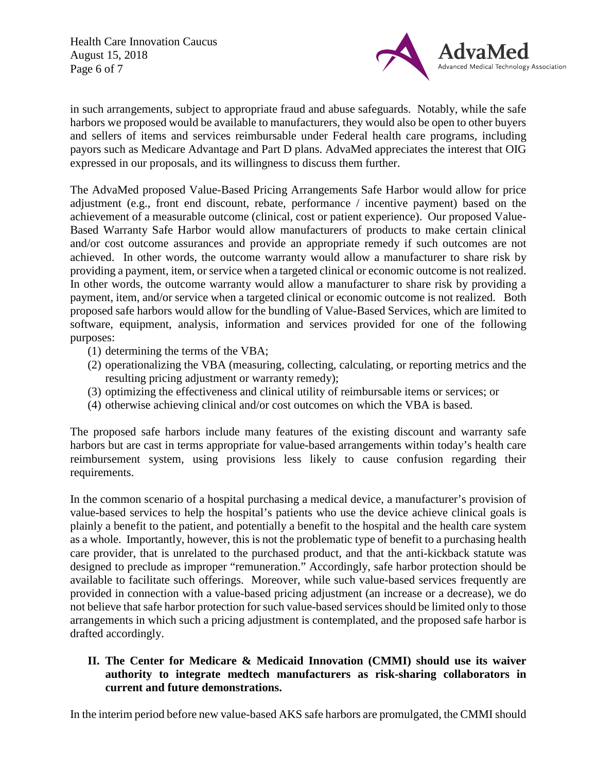Health Care Innovation Caucus August 15, 2018 Page 6 of 7



in such arrangements, subject to appropriate fraud and abuse safeguards. Notably, while the safe harbors we proposed would be available to manufacturers, they would also be open to other buyers and sellers of items and services reimbursable under Federal health care programs, including payors such as Medicare Advantage and Part D plans. AdvaMed appreciates the interest that OIG expressed in our proposals, and its willingness to discuss them further.

The AdvaMed proposed Value-Based Pricing Arrangements Safe Harbor would allow for price adjustment (e.g., front end discount, rebate, performance / incentive payment) based on the achievement of a measurable outcome (clinical, cost or patient experience). Our proposed Value-Based Warranty Safe Harbor would allow manufacturers of products to make certain clinical and/or cost outcome assurances and provide an appropriate remedy if such outcomes are not achieved. In other words, the outcome warranty would allow a manufacturer to share risk by providing a payment, item, or service when a targeted clinical or economic outcome is not realized. In other words, the outcome warranty would allow a manufacturer to share risk by providing a payment, item, and/or service when a targeted clinical or economic outcome is not realized. Both proposed safe harbors would allow for the bundling of Value-Based Services, which are limited to software, equipment, analysis, information and services provided for one of the following purposes:

- (1) determining the terms of the VBA;
- (2) operationalizing the VBA (measuring, collecting, calculating, or reporting metrics and the resulting pricing adjustment or warranty remedy);
- (3) optimizing the effectiveness and clinical utility of reimbursable items or services; or
- (4) otherwise achieving clinical and/or cost outcomes on which the VBA is based.

The proposed safe harbors include many features of the existing discount and warranty safe harbors but are cast in terms appropriate for value-based arrangements within today's health care reimbursement system, using provisions less likely to cause confusion regarding their requirements.

In the common scenario of a hospital purchasing a medical device, a manufacturer's provision of value-based services to help the hospital's patients who use the device achieve clinical goals is plainly a benefit to the patient, and potentially a benefit to the hospital and the health care system as a whole. Importantly, however, this is not the problematic type of benefit to a purchasing health care provider, that is unrelated to the purchased product, and that the anti-kickback statute was designed to preclude as improper "remuneration." Accordingly, safe harbor protection should be available to facilitate such offerings. Moreover, while such value-based services frequently are provided in connection with a value-based pricing adjustment (an increase or a decrease), we do not believe that safe harbor protection for such value-based services should be limited only to those arrangements in which such a pricing adjustment is contemplated, and the proposed safe harbor is drafted accordingly.

### **II. The Center for Medicare & Medicaid Innovation (CMMI) should use its waiver authority to integrate medtech manufacturers as risk-sharing collaborators in current and future demonstrations.**

In the interim period before new value-based AKS safe harbors are promulgated, the CMMI should